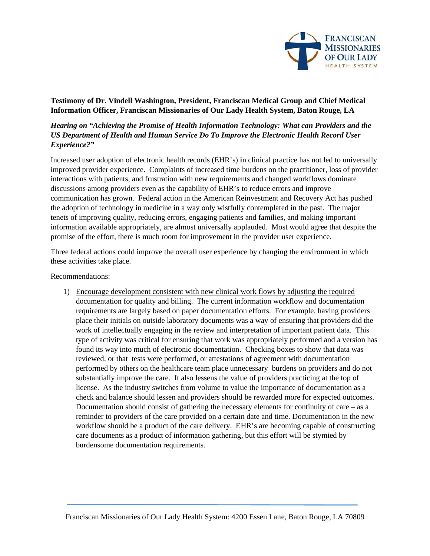

## Testimony of Dr. Vindell Washington, President, Franciscan Medical Group and Chief Medical Information Officer, Franciscan Missionaries of Our Lady Health System, Baton Rouge, LA

## Hearing on "Achieving the Promise of Health Information Technology: What can Providers and the US Department of Health and Human Service Do To Improve the Electronic Health Record User Experience?"

Increased user adoption of electronic health records (EHR's) in clinical practice has not led to universally improved provider experience. Complaints of increased time burdens on the practitioner, loss of provider interactions with patients, and frustration with new requirements and changed workflows dominate discussions among providers even as the capability of EHR's to reduce errors and improve communication has grown. Federal action in the American Reinvestment and Recovery Act has pushed the adoption of technology in medicine in a way only wistfully contemplated in the past. The major tenets of improving quality, reducing errors, engaging patients and families, and making important information available appropriately, are almost universally applauded. Most would agree that despite the promise of the effort, there is much room for improvement in the provider user experience.

Three federal actions could improve the overall user experience by changing the environment in which these activities take place.

Recommendations:

1) Encourage development consistent with new clinical work flows by adjusting the required documentation for quality and billing. The current information workflow and documentation requirements are largely based on paper documentation efforts. For example, having providers place their initials on outside laboratory documents was a way of ensuring that providers did the work of intellectually engaging in the review and interpretation of important patient data. This type of activity was critical for ensuring that work was appropriately performed and a version has found its way into much of electronic documentation. Checking boxes to show that data was reviewed, or that tests were performed, or attestations of agreement with documentation performed by others on the healthcare team place unnecessary burdens on providers and do not substantially improve the care. It also lessens the value of providers practicing at the top of license. As the industry switches from volume to value the importance of documentation as a check and balance should lessen and providers should be rewarded more for expected outcomes. Documentation should consist of gathering the necessary elements for continuity of care  $-$  as a reminder to providers of the care provided on a certain date and time. Documentation in the new workflow should be a product of the care delivery. EHR's are becoming capable of constructing care documents as a product of information gathering, but this effort will be stymied by burdensome documentation requirements.